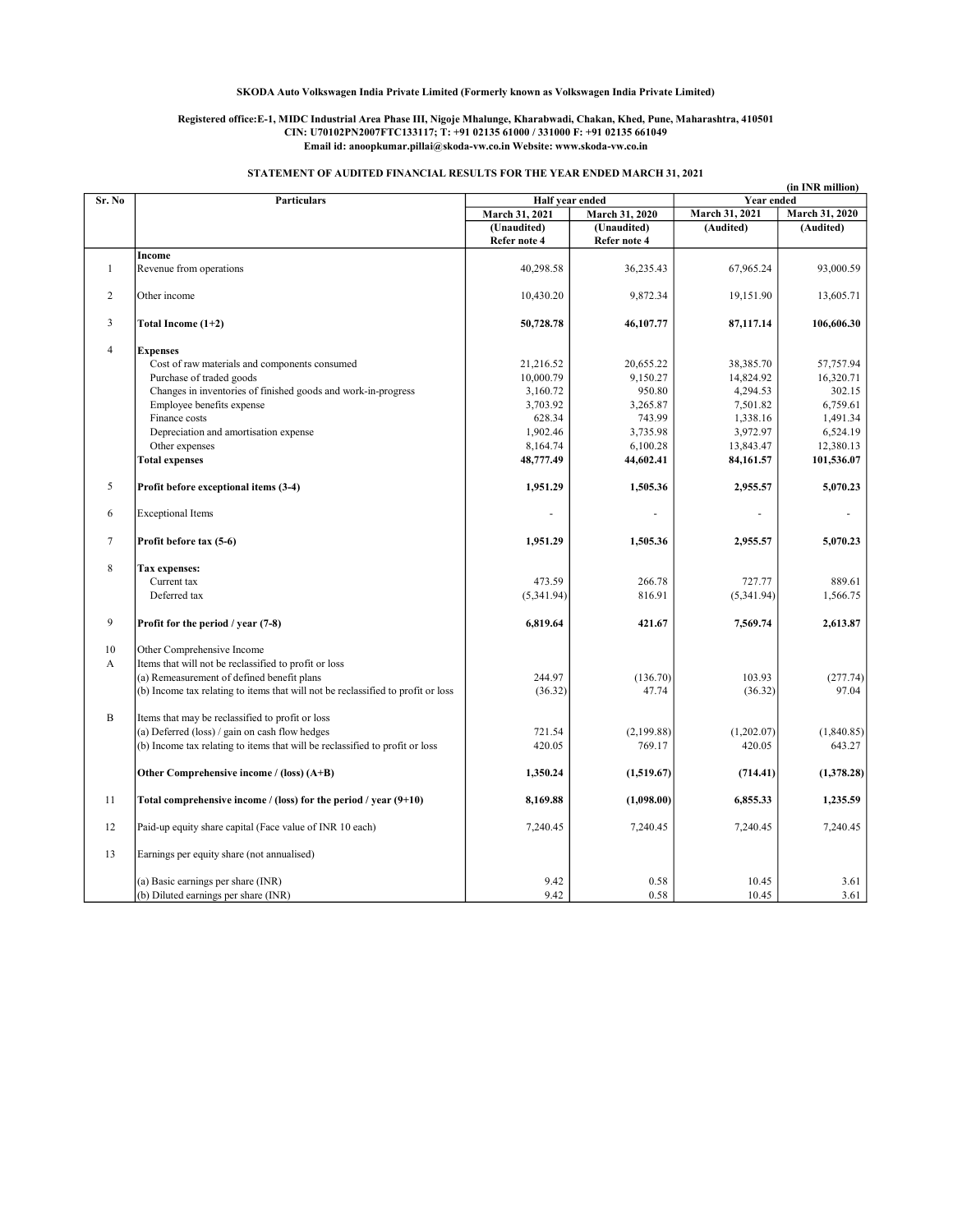#### Registered office:E-1, MIDC Industrial Area Phase III, Nigoje Mhalunge, Kharabwadi, Chakan, Khed, Pune, Maharashtra, 410501 CIN: U70102PN2007FTC133117; T: +91 02135 61000 / 331000 F: +91 02135 661049 Email id: anoopkumar.pillai@skoda-vw.co.in Website: www.skoda-vw.co.in

## STATEMENT OF AUDITED FINANCIAL RESULTS FOR THE YEAR ENDED MARCH 31, 2021

|                |                                                                                  |                 |                |                | (in INR million) |  |
|----------------|----------------------------------------------------------------------------------|-----------------|----------------|----------------|------------------|--|
| Sr. No         | <b>Particulars</b>                                                               | Half year ended |                | Year ended     |                  |  |
|                |                                                                                  | March 31, 2021  | March 31, 2020 | March 31, 2021 | March 31, 2020   |  |
|                |                                                                                  | (Unaudited)     | (Unaudited)    | (Audited)      | (Audited)        |  |
|                |                                                                                  | Refer note 4    | Refer note 4   |                |                  |  |
|                | Income                                                                           |                 |                |                |                  |  |
| $\mathbf{1}$   | Revenue from operations                                                          | 40,298.58       | 36,235.43      | 67,965.24      | 93,000.59        |  |
| $\overline{2}$ | Other income                                                                     | 10,430.20       | 9,872.34       | 19,151.90      | 13,605.71        |  |
| 3              | Total Income (1+2)                                                               | 50,728.78       | 46,107.77      | 87,117.14      | 106,606.30       |  |
| $\overline{4}$ | <b>Expenses</b>                                                                  |                 |                |                |                  |  |
|                | Cost of raw materials and components consumed                                    | 21,216.52       | 20,655.22      | 38,385.70      | 57,757.94        |  |
|                | Purchase of traded goods                                                         | 10,000.79       | 9,150.27       | 14,824.92      | 16,320.71        |  |
|                | Changes in inventories of finished goods and work-in-progress                    | 3,160.72        | 950.80         | 4,294.53       | 302.15           |  |
|                | Employee benefits expense                                                        | 3,703.92        | 3,265.87       | 7,501.82       | 6,759.61         |  |
|                | Finance costs                                                                    | 628.34          | 743.99         | 1,338.16       | 1,491.34         |  |
|                |                                                                                  |                 |                |                |                  |  |
|                | Depreciation and amortisation expense                                            | 1,902.46        | 3,735.98       | 3,972.97       | 6,524.19         |  |
|                | Other expenses                                                                   | 8,164.74        | 6,100.28       | 13,843.47      | 12,380.13        |  |
|                | <b>Total expenses</b>                                                            | 48,777.49       | 44,602.41      | 84,161.57      | 101,536.07       |  |
| 5              | Profit before exceptional items (3-4)                                            | 1,951.29        | 1,505.36       | 2,955.57       | 5,070.23         |  |
| 6              | <b>Exceptional Items</b>                                                         |                 |                |                |                  |  |
| $\tau$         | Profit before tax (5-6)                                                          | 1,951.29        | 1,505.36       | 2,955.57       | 5,070.23         |  |
| 8              | Tax expenses:                                                                    |                 |                |                |                  |  |
|                | Current tax                                                                      | 473.59          | 266.78         | 727.77         | 889.61           |  |
|                | Deferred tax                                                                     | (5,341.94)      | 816.91         | (5,341.94)     | 1,566.75         |  |
|                |                                                                                  |                 |                |                |                  |  |
| 9              | Profit for the period / year (7-8)                                               | 6,819.64        | 421.67         | 7,569.74       | 2,613.87         |  |
| 10             | Other Comprehensive Income                                                       |                 |                |                |                  |  |
| A              | Items that will not be reclassified to profit or loss                            |                 |                |                |                  |  |
|                | (a) Remeasurement of defined benefit plans                                       | 244.97          | (136.70)       | 103.93         | (277.74)         |  |
|                | (b) Income tax relating to items that will not be reclassified to profit or loss | (36.32)         | 47.74          | (36.32)        | 97.04            |  |
|                |                                                                                  |                 |                |                |                  |  |
| $\, {\bf B}$   | Items that may be reclassified to profit or loss                                 |                 |                |                |                  |  |
|                | (a) Deferred (loss) / gain on cash flow hedges                                   | 721.54          | (2, 199.88)    | (1,202.07)     | (1,840.85)       |  |
|                | (b) Income tax relating to items that will be reclassified to profit or loss     | 420.05          | 769.17         | 420.05         | 643.27           |  |
|                | Other Comprehensive income / (loss) (A+B)                                        | 1,350.24        | (1,519.67)     | (714.41)       | (1,378.28)       |  |
| 11             | Total comprehensive income / (loss) for the period / year $(9+10)$               | 8,169.88        | (1,098.00)     | 6,855.33       | 1,235.59         |  |
| 12             | Paid-up equity share capital (Face value of INR 10 each)                         | 7,240.45        | 7,240.45       | 7,240.45       | 7,240.45         |  |
| 13             | Earnings per equity share (not annualised)                                       |                 |                |                |                  |  |
|                | (a) Basic earnings per share (INR)                                               | 9.42            | 0.58           | 10.45          | 3.61             |  |
|                | (b) Diluted earnings per share (INR)                                             | 9.42            | 0.58           | 10.45          | 3.61             |  |
|                |                                                                                  |                 |                |                |                  |  |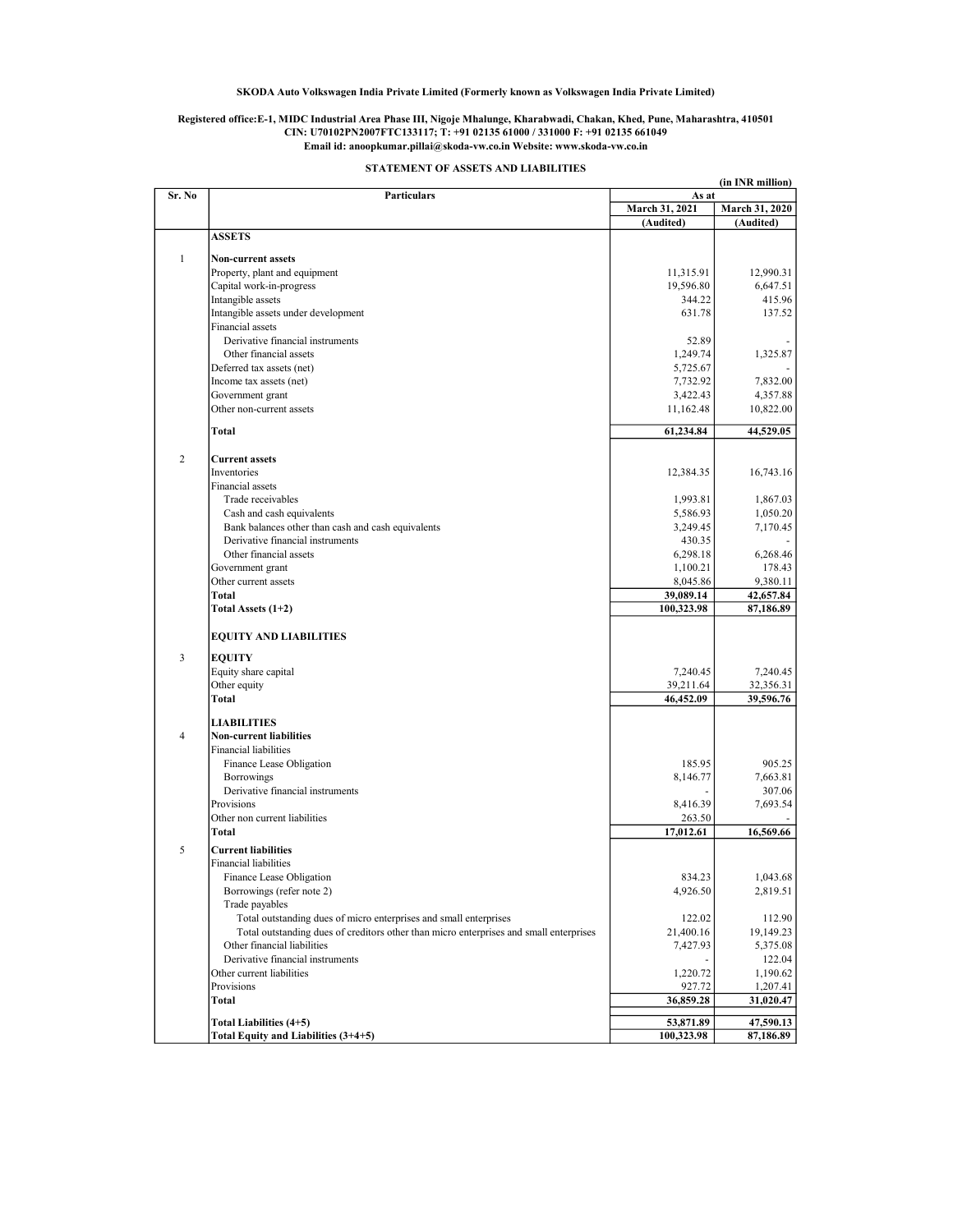#### Registered office:E-1, MIDC Industrial Area Phase III, Nigoje Mhalunge, Kharabwadi, Chakan, Khed, Pune, Maharashtra, 410501 CIN: U70102PN2007FTC133117; T: +91 02135 61000 / 331000 F: +91 02135 661049 Email id: anoopkumar.pillai@skoda-vw.co.in Website: www.skoda-vw.co.in

|                |                                                                                        |                         | (in INR million)            |
|----------------|----------------------------------------------------------------------------------------|-------------------------|-----------------------------|
| Sr. No         | Particulars                                                                            | As at<br>March 31, 2021 |                             |
|                |                                                                                        |                         | March 31, 2020<br>(Audited) |
|                | <b>ASSETS</b>                                                                          | (Audited)               |                             |
|                |                                                                                        |                         |                             |
| $\mathbf{1}$   | <b>Non-current assets</b>                                                              |                         |                             |
|                | Property, plant and equipment                                                          | 11,315.91               | 12,990.31                   |
|                | Capital work-in-progress                                                               | 19,596.80               | 6,647.51                    |
|                | Intangible assets                                                                      | 344.22                  | 415.96                      |
|                | Intangible assets under development                                                    | 631.78                  | 137.52                      |
|                | Financial assets                                                                       |                         |                             |
|                | Derivative financial instruments                                                       | 52.89                   |                             |
|                | Other financial assets                                                                 | 1,249.74                | 1,325.87                    |
|                | Deferred tax assets (net)                                                              | 5,725.67                |                             |
|                | Income tax assets (net)                                                                | 7,732.92                | 7,832.00                    |
|                | Government grant                                                                       | 3,422.43                | 4,357.88                    |
|                | Other non-current assets                                                               | 11,162.48               | 10,822.00                   |
|                |                                                                                        |                         |                             |
|                | <b>Total</b>                                                                           | 61,234.84               | 44,529.05                   |
|                |                                                                                        |                         |                             |
| $\overline{c}$ | <b>Current assets</b>                                                                  |                         |                             |
|                | Inventories                                                                            | 12,384.35               | 16,743.16                   |
|                | Financial assets                                                                       |                         |                             |
|                | Trade receivables                                                                      | 1,993.81                | 1,867.03                    |
|                | Cash and cash equivalents                                                              | 5,586.93                | 1,050.20                    |
|                | Bank balances other than cash and cash equivalents                                     | 3,249.45                | 7,170.45                    |
|                | Derivative financial instruments                                                       | 430.35                  |                             |
|                | Other financial assets                                                                 | 6,298.18                | 6,268.46                    |
|                | Government grant                                                                       | 1,100.21                | 178.43                      |
|                | Other current assets                                                                   | 8,045.86                | 9,380.11                    |
|                | <b>Total</b>                                                                           | 39,089.14               | 42,657.84                   |
|                | Total Assets (1+2)                                                                     | 100,323.98              | 87,186.89                   |
|                | <b>EQUITY AND LIABILITIES</b>                                                          |                         |                             |
| 3              | <b>EQUITY</b>                                                                          |                         |                             |
|                | Equity share capital                                                                   | 7,240.45                | 7,240.45                    |
|                | Other equity                                                                           | 39,211.64               | 32,356.31                   |
|                | <b>Total</b>                                                                           | 46,452.09               | 39,596.76                   |
|                |                                                                                        |                         |                             |
|                | <b>LIABILITIES</b>                                                                     |                         |                             |
| $\overline{4}$ | <b>Non-current liabilities</b>                                                         |                         |                             |
|                | <b>Financial liabilities</b>                                                           |                         |                             |
|                | Finance Lease Obligation                                                               | 185.95                  | 905.25                      |
|                | Borrowings                                                                             | 8,146.77                | 7,663.81                    |
|                | Derivative financial instruments                                                       |                         | 307.06                      |
|                | Provisions                                                                             | 8,416.39                | 7,693.54                    |
|                | Other non current liabilities                                                          | 263.50                  |                             |
|                | <b>Total</b>                                                                           | 17,012.61               | 16,569.66                   |
| 5              | <b>Current liabilities</b>                                                             |                         |                             |
|                | <b>Financial liabilities</b>                                                           |                         |                             |
|                | Finance Lease Obligation                                                               | 834.23                  | 1,043.68                    |
|                | Borrowings (refer note 2)                                                              | 4,926.50                | 2,819.51                    |
|                |                                                                                        |                         |                             |
|                | Trade payables                                                                         |                         |                             |
|                | Total outstanding dues of micro enterprises and small enterprises                      | 122.02                  | 112.90                      |
|                | Total outstanding dues of creditors other than micro enterprises and small enterprises | 21,400.16               | 19,149.23                   |
|                | Other financial liabilities                                                            | 7,427.93                | 5,375.08                    |
|                | Derivative financial instruments                                                       |                         | 122.04                      |
|                | Other current liabilities                                                              | 1,220.72                | 1,190.62                    |
|                | Provisions                                                                             | 927.72                  | 1,207.41                    |
|                | Total                                                                                  | 36,859.28               | 31,020.47                   |
|                | Total Liabilities (4+5)                                                                | 53,871.89               | 47,590.13                   |
|                | Total Equity and Liabilities (3+4+5)                                                   | 100,323.98              | 87,186.89                   |

STATEMENT OF ASSETS AND LIABILITIES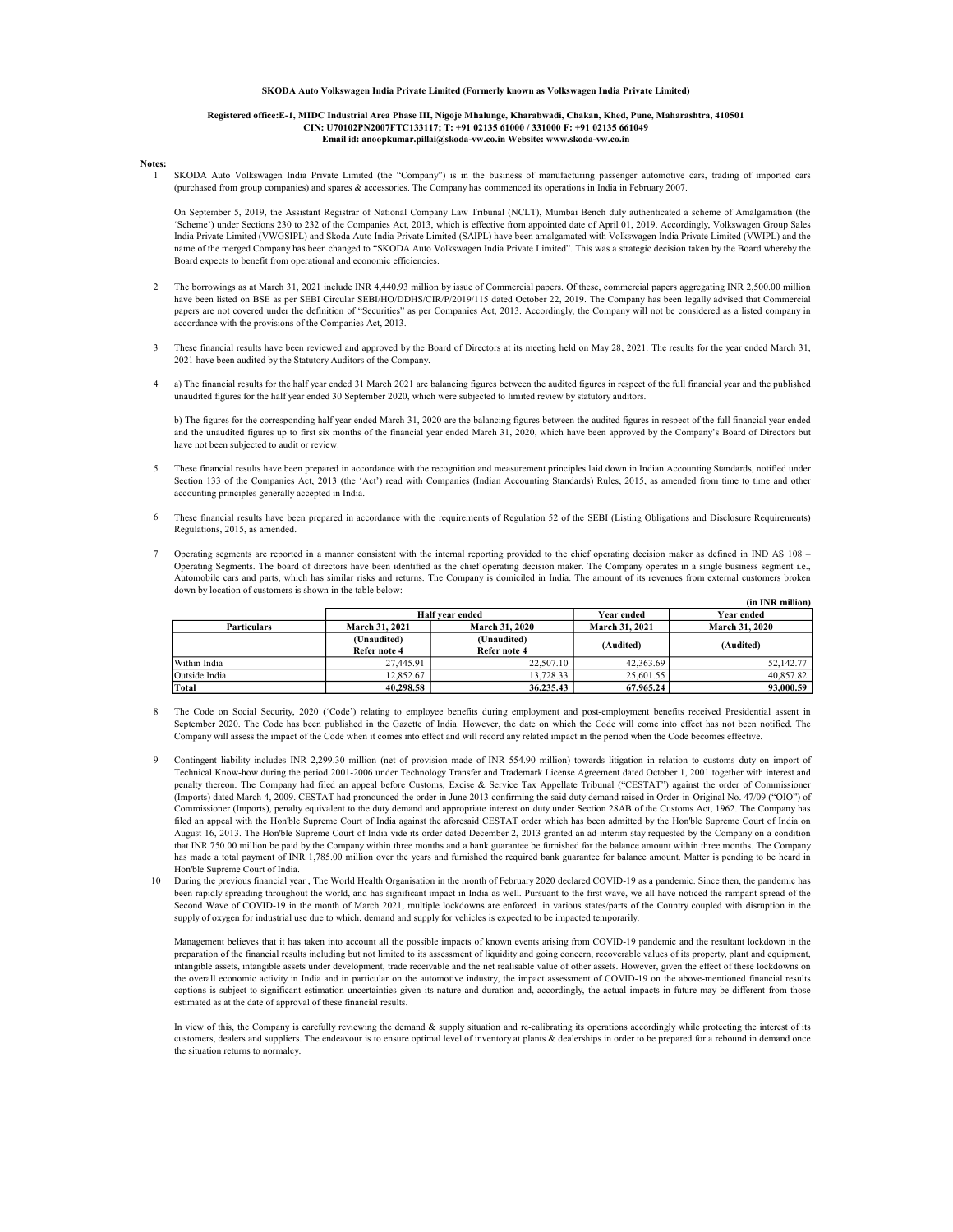#### Registered office:E-1, MIDC Industrial Area Phase III, Nigoje Mhalunge, Kharabwadi, Chakan, Khed, Pune, Maharashtra, 410501 CIN: U70102PN2007FTC133117; T: +91 02135 61000 / 331000 F: +91 02135 661049 Email id: anoopkumar.pillai@skoda-vw.co.in Website: www.skoda-vw.co.in

#### Notes: 1

SKODA Auto Volkswagen India Private Limited (the "Company") is in the business of manufacturing passenger automotive cars, trading of imported cars (purchased from group companies) and spares & accessories. The Company has commenced its operations in India in February 2007.

On September 5, 2019, the Assistant Registrar of National Company Law Tribunal (NCLT), Mumbai Bench duly authenticated a scheme of Amalgamation (the 'Scheme') under Sections 230 to 232 of the Companies Act, 2013, which is effective from appointed date of April 01, 2019. Accordingly, Volkswagen Group Sales India Private Limited (VWGSIPL) and Skoda Auto India Private Limited (SAIPL) have been amalgamated with Volkswagen India Private Limited (VWIPL) and the name of the merged Company has been changed to "SKODA Auto Volkswagen India Private Limited". This was a strategic decision taken by the Board whereby the Board expects to benefit from operational and economic efficiencies.

- 2 The borrowings as at March 31, 2021 include INR 4,440.93 million by issue of Commercial papers. Of these, commercial papers aggregating INR 2,500.00 million have been listed on BSE as per SEBI Circular SEBI/HO/DDHS/CIR/P/2019/115 dated October 22, 2019. The Company has been legally advised that Commercial papers are not covered under the definition of "Securities" as per Companies Act, 2013. Accordingly, the Company will not be considered as a listed company in accordance with the provisions of the Companies Act, 2013.
- 3 These financial results have been reviewed and approved by the Board of Directors at its meeting held on May 28, 2021. The results for the year ended March 31, 2021 have been audited by the Statutory Auditors of the Company.
- 4 a) The financial results for the half year ended 31 March 2021 are balancing figures between the audited figures in respect of the full financial year and the published unaudited figures for the half year ended 30 September 2020, which were subjected to limited review by statutory auditors.

b) The figures for the corresponding half year ended March 31, 2020 are the balancing figures between the audited figures in respect of the full financial year ended and the unaudited figures up to first six months of the financial year ended March 31, 2020, which have been approved by the Company's Board of Directors but have not been subjected to audit or review.

- 5 These financial results have been prepared in accordance with the recognition and measurement principles laid down in Indian Accounting Standards, notified under Section 133 of the Companies Act, 2013 (the 'Act') read with Companies (Indian Accounting Standards) Rules, 2015, as amended from time to time and other accounting principles generally accepted in India.
- 6 These financial results have been prepared in accordance with the requirements of Regulation 52 of the SEBI (Listing Obligations and Disclosure Requirements) Regulations, 2015, as amended.
- 7 Operating segments are reported in a manner consistent with the internal reporting provided to the chief operating decision maker as defined in IND AS 108 – Operating Segments. The board of directors have been identified as the chief operating decision maker. The Company operates in a single business segment i.e., Automobile cars and parts, which has similar risks and returns. The Company is domiciled in India. The amount of its revenues from external customers broken down by location of customers is shown in the table below:

|                    |                       |                        |                | (in INR million) |
|--------------------|-----------------------|------------------------|----------------|------------------|
|                    |                       | <b>Half vear ended</b> | Year ended     | Year ended       |
| <b>Particulars</b> | <b>March 31, 2021</b> | <b>March 31, 2020</b>  | March 31, 2021 | March 31, 2020   |
|                    | (Unaudited)           | (Unaudited)            | (Audited)      | (Audited)        |
|                    | Refer note 4          | Refer note 4           |                |                  |
| Within India       | 27,445.91             | 22,507.10              | 42,363.69      | 52,142.77        |
| Outside India      | 12.852.67             | 13.728.33              | 25,601.55      | 40.857.82        |
| Total              | 40.298.58             | 36,235.43              | 67,965,24      | 93,000.59        |

- 8 The Code on Social Security, 2020 ('Code') relating to employee benefits during employment and post-employment benefits received Presidential assent in September 2020. The Code has been published in the Gazette of India. However, the date on which the Code will come into effect has not been notified. The Company will assess the impact of the Code when it comes into effect and will record any related impact in the period when the Code becomes effective.
- 9 Contingent liability includes INR 2,299.30 million (net of provision made of INR 554.90 million) towards litigation in relation to customs duty on import of Technical Know-how during the period 2001-2006 under Technology Transfer and Trademark License Agreement dated October 1, 2001 together with interest and penalty thereon. The Company had filed an appeal before Customs, Excise & Service Tax Appellate Tribunal ("CESTAT") against the order of Commissioner (Imports) dated March 4, 2009. CESTAT had pronounced the order in June 2013 confirming the said duty demand raised in Order-in-Original No. 47/09 ("OIO") of Commissioner (Imports), penalty equivalent to the duty demand and appropriate interest on duty under Section 28AB of the Customs Act, 1962. The Company has filed an appeal with the Hon'ble Supreme Court of India against the aforesaid CESTAT order which has been admitted by the Hon'ble Supreme Court of India on August 16, 2013. The Hon'ble Supreme Court of India vide its order dated December 2, 2013 granted an ad-interim stay requested by the Company on a condition that INR 750.00 million be paid by the Company within three months and a bank guarantee be furnished for the balance amount within three months. The Company has made a total payment of INR 1,785.00 million over the years and furnished the required bank guarantee for balance amount. Matter is pending to be heard in Hon'ble Supreme Court of India.
- 10 During the previous financial year , The World Health Organisation in the month of February 2020 declared COVID-19 as a pandemic. Since then, the pandemic has been rapidly spreading throughout the world, and has significant impact in India as well. Pursuant to the first wave, we all have noticed the rampant spread of the Second Wave of COVID-19 in the month of March 2021, multiple lockdowns are enforced in various states/parts of the Country coupled with disruption in the supply of oxygen for industrial use due to which, demand and supply for vehicles is expected to be impacted temporarily.

Management believes that it has taken into account all the possible impacts of known events arising from COVID-19 pandemic and the resultant lockdown in the preparation of the financial results including but not limited to its assessment of liquidity and going concern, recoverable values of its property, plant and equipment, intangible assets, intangible assets under development, trade receivable and the net realisable value of other assets. However, given the effect of these lockdowns on the overall economic activity in India and in particular on the automotive industry, the impact assessment of COVID-19 on the above-mentioned financial results captions is subject to significant estimation uncertainties given its nature and duration and, accordingly, the actual impacts in future may be different from those estimated as at the date of approval of these financial results.

In view of this, the Company is carefully reviewing the demand & supply situation and re-calibrating its operations accordingly while protecting the interest of its customers, dealers and suppliers. The endeavour is to ensure optimal level of inventory at plants & dealerships in order to be prepared for a rebound in demand once the situation returns to normalcy.